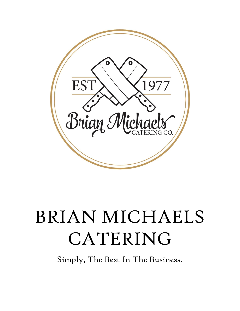

# BRIAN MICHAELS CATERING

\_\_\_\_\_\_\_\_\_\_\_\_\_\_\_\_\_\_\_\_\_\_\_\_\_\_\_\_\_\_\_\_\_\_\_\_\_\_\_\_\_\_\_\_\_\_\_\_\_\_\_\_\_\_\_\_\_\_\_\_\_\_\_\_\_\_\_\_\_\_\_\_\_\_\_\_\_\_\_\_\_\_

Simply, The Best In The Business.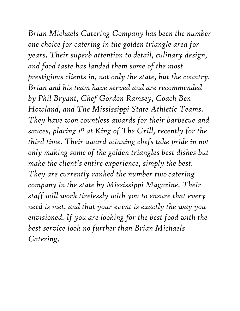*Brian Michaels Catering Company has been the number one choice for catering in the golden triangle area for years. Their superb attention to detail, culinary design, and food taste has landed them some of the most prestigious clients in, not only the state, but the country. Brian and his team have served and are recommended by Phil Bryant, Chef Gordon Ramsey, Coach Ben Howland, and The Mississippi State Athletic Teams. They have won countless awards for their barbecue and sauces, placing 1st at King of The Grill, recently for the third time. Their award winning chefs take pride in not only making some of the golden triangles best dishes but make the client's entire experience, simply the best. They are currently ranked the number two catering company in the state by Mississippi Magazine. Their staff will work tirelessly with you to ensure that every need is met, and that your event is exactly the way you envisioned. If you are looking for the best food with the best service look no further than Brian Michaels Catering.*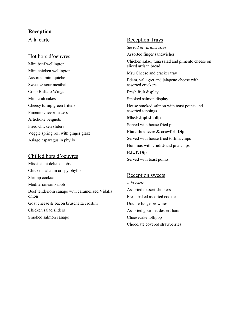# **Reception**

A la carte

#### Hot hors d'oeuvres

Mini beef wellington Mini chicken wellington Assorted mini quiche Sweet & sour meatballs Crisp Buffalo Wings Mini crab cakes Cheesy turnip green fritters Pimento cheese fritters Artichoke beignets Fried chicken sliders Veggie spring roll with ginger glaze Asiago asparagus in phyllo

#### Chilled hors d'oeuvres

Mississippi delta kabobs Chicken salad in crispy phyllo Shrimp cocktail Mediterranean kabob Beef tenderloin canape with caramelized Vidalia onion Goat cheese & bacon bruschetta crostini Chicken salad sliders Smoked salmon canape

# Reception Trays

*Served in various sizes*

Assorted finger sandwiches

Chicken salad, tuna salad and pimento cheese on sliced artisan bread

Msu Cheese and cracker tray

Edam, vallagret and jalapeno cheese with assorted crackers

Fresh fruit display

Smoked salmon display

House smoked salmon with toast points and assorted toppings

**Mississippi sin dip** Served with house fried pita

**Pimento cheese & crawfish Dip** Served with house fried tortilla chips Hummus with crudité and pita chips **B.L.T. Dip** Served with toast points

#### Reception sweets

*A la carte* Assorted dessert shooters Fresh baked assorted cookies Double fudge brownies Assorted gourmet dessert bars Cheesecake lollipop Chocolate covered strawberries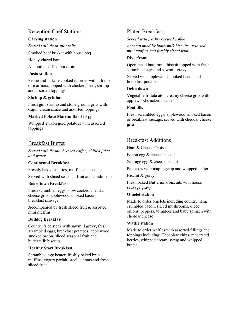# Reception Chef Stations

#### **Carving station**

*Served with fresh split rolls*

Smoked beef brisket with house bbq

Honey glazed ham

Andouille stuffed pork loin

#### **Pasta station**

Penne and farfalle cooked to order with alfredo or marinara, topped with chicken, beef, shrimp and assorted toppings

#### **Shrimp & grit bar**

Fresh gulf shrimp and stone ground grits with Cajun cream sauce and assorted toppings

#### **Mashed Potato Martini Bar** \$13 pp

Whipped Yukon gold potatoes with assorted toppings

# Breakfast Buffet

*Served with freshly brewed coffee, chilled juice and water*

## **Continental Breakfast**

Freshly baked pastries, muffins and scones Served with sliced seasonal fruit and condiments

#### **Boardtown Breakfast**

Fresh scrambled eggs, slow cooked cheddar cheese grits, applewood smoked bacon, breakfast sausage

Accompanied by fresh sliced fruit & assorted mini muffins

#### **Bulldog Breakfast**

Country fried steak with sawmill gravy, fresh scrambled eggs, breakfast potatoes, applewood smoked bacon, sliced seasonal fruit and buttermilk biscuits

#### **Healthy Start Breakfast**

Scrambled egg beater, freshly baked bran muffins, yogurt parfait, steel cut oats and fresh sliced fruit

# Plated Breakfast

*Served with freshly brewed coffee*

*Accompanied by buttermilk biscuits, assorted mini muffins and freshly sliced fruit*

#### **Riverfront**

Open faced buttermilk biscuit topped with fresh scrambled eggs and sawmill gravy

Served with applewood smoked bacon and breakfast potatoes

#### **Delta dawn**

Vegetable frittata atop creamy cheese grits with applewood smoked bacon

#### **Foothills**

Fresh scrambled eggs, applewood smoked bacon or breakfast sausage, served with cheddar cheese grits

# Breakfast Additions

Ham & Cheese Croissant

Bacon egg & cheese biscuit

Sausage egg & cheese biscuit

Pancakes with maple syrup and whipped butter

Biscuit & gravy

Fresh baked Buttermilk biscuits with house sausage gravy

#### **Omelet station**

Made to order omelets including country ham, crumbled bacon, sliced mushrooms, diced onions, peppers, tomatoes and baby spinach with cheddar cheese

#### **Waffle station**

Made to order waffles with assorted fillings and toppings including: Chocolate chips, macerated berries, whipped cream, syrup and whipped butter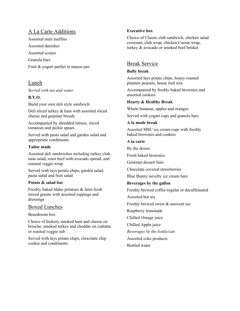# A La Carte Additions

Assorted mini muffins Assorted danishes Assorted scones Granola bars Fruit & yogurt parfait in mason jars

# Lunch

*Served with tea and water*

**B.Y.O.** 

Build your own deli style sandwich

Deli sliced turkey & ham with assorted sliced cheese and gourmet breads

Accompanied by shredded lettuce, sliced tomatoes and pickle spears

Served with pasta salad and garden salad and appropriate condiments

#### **Tailor made**

Assorted deli sandwiches including turkey club, tuna salad, roast beef with avocado spread, and roasted veggie wrap

Served with lays potato chips, garden salad, pasta salad and fruit salad

#### **Potato & salad bar**

Freshly baked Idaho potatoes & farm fresh mixed greens with assorted toppings and dressings

## Boxed Lunches

Boardroom box

Choice of hickory smoked ham and cheese on brioche, smoked turkey and cheddar on ciabatta or roasted veggie sub

Served with lays potato chips, chocolate chip cookie and condiments

## **Executive box**

Choice of Classic club sandwich, chicken salad croissant, club wrap, chicken Caesar wrap, turkey & avocado or smoked beef brisket

# Break Service

#### **Bully break**

Assorted lays potato chips, honey roasted planters peanuts, house trail mix

Accompanied by freshly baked brownies and assorted cookies

## **Hearty & Healthy Break**

Whole bananas, apples and oranges

Served with yogurt cups and granola bars

#### **A la mode break**

Assorted MSU ice cream cups with freshly baked brownies and cookies

#### **A la carte**

By the dozen

Fresh baked brownies

Gourmet dessert bars

Chocolate covered strawberries

Blue Bunny novelty ice cream bars

## **Beverages by the gallon**

Freshly brewed coffee-regular or decaffeinated

Assorted hot tea

Freshly brewed sweet & unsweet tea

Raspberry lemonade

Chilled Orange juice

Chilled Apple juice

*Beverages by the bottle/can*

Assorted coke products

Bottled water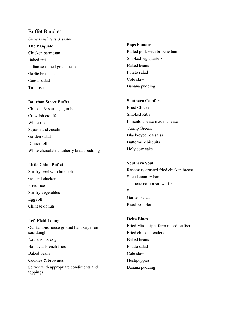#### Buffet Bundles

*Served with teas & water*

**The Pasquale** Chicken parmesan Baked ziti Italian seasoned green beans Garlic breadstick Caesar salad Tiramisu

#### **Bourbon Street Buffet**

Chicken & sausage gumbo Crawfish etouffe White rice Squash and zucchini Garden salad Dinner roll White chocolate cranberry bread pudding

#### **Little China Buffet**

Stir fry beef with broccoli General chicken Fried rice Stir fry vegetables Egg roll Chinese donuts

# **Left Field Lounge** Our famous house ground hamburger on sourdough Nathans hot dog Hand cut French fries Baked beans Cookies & brownies Served with appropriate condiments and toppings

#### **Pops Famous**

Pulled pork with brioche bun Smoked leg quarters Baked beans Potato salad Cole slaw Banana pudding

#### **Southern Comfort**

Fried Chicken Smoked Ribs Pimento cheese mac n cheese Turnip Greens Black-eyed pea salsa Buttermilk biscuits Holy cow cake

#### **Southern Soul**

Rosemary crusted fried chicken breast Sliced country ham Jalapeno cornbread waffle Succotash Garden salad Peach cobbler

# **Delta Blues**

Fried Mississippi farm raised catfish Fried chicken tenders Baked beans Potato salad Cole slaw Hushpuppies Banana pudding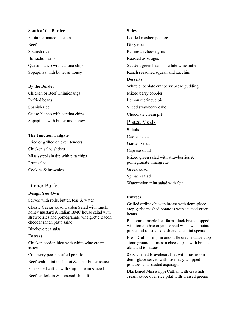#### **South of the Border**

Fajita marinated chicken Beef tacos Spanish rice Borracho beans Queso blanco with cantina chips Sopapillas with butter & honey

#### **By the Border**

Chicken or Beef Chimichanga Refried beans Spanish rice Queso blanco with cantina chips Sopapillas with butter and honey

#### **The Junction Tailgate**

Fried or grilled chicken tenders Chicken salad sliders Mississippi sin dip with pita chips Fruit salad Cookies & brownies

## Dinner Buffet

#### **Design You Own**

Served with rolls, butter, teas & water

Classic Caesar salad Garden Salad with ranch, honey mustard & Italian BMC house salad with strawberries and pomegranate vinaigrette Bacon cheddar ranch pasta salad

Blackeye pea salsa

#### **Entrees**

Chicken cordon bleu with white wine cream sauce

Cranberry pecan stuffed pork loin

Beef scaloppini in shallot & caper butter sauce

Pan seared catfish with Cajun cream sauced

Beef tenderloin & horseradish aioli

#### **Sides**

Loaded mashed potatoes Dirty rice Parmesan cheese grits Roasted asparagus Sautéed green beans in white wine butter Ranch seasoned squash and zucchini **Desserts** White chocolate cranberry bread pudding Mixed berry cobbler Lemon meringue pie Sliced strawberry cake Chocolate cream pie Plated Meals **Salads**  Caesar salad Garden salad Caprese salad Mixed green salad with strawberries & pomegranate vinaigrette Greek salad Spinach salad Watermelon mint salad with feta

#### **Entrees**

Grilled airline chicken breast with demi-glace atop garlic mashed potatoes with sautéed green beans

Pan seared maple leaf farms duck breast topped with tomato bacon jam served with sweet potato puree and roasted squash and zucchini spears

Fresh Gulf shrimp in andouille cream sauce atop stone ground parmesan cheese grits with braised okra and tomatoes

8 oz. Grilled Braveheart filet with mushroom demi-glace served with rosemary whipped potatoes and roasted asparagus

Blackened Mississippi Catfish with crawfish cream sauce over rice pilaf with braised greens